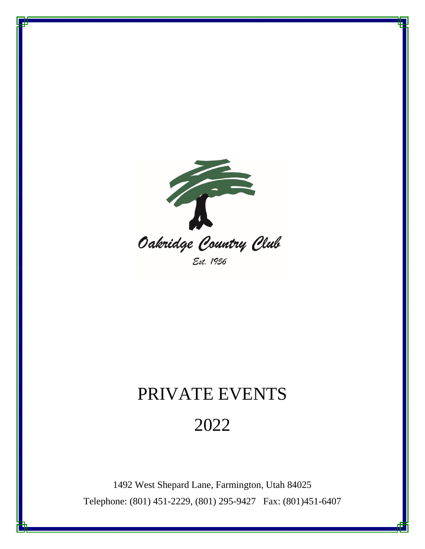

Est. 1956

## PRIVATE EVENTS

## 2022

1492 West Shepard Lane, Farmington, Utah 84025 Telephone: (801) 451-2229, (801) 295-9427 Fax: (801)451-6407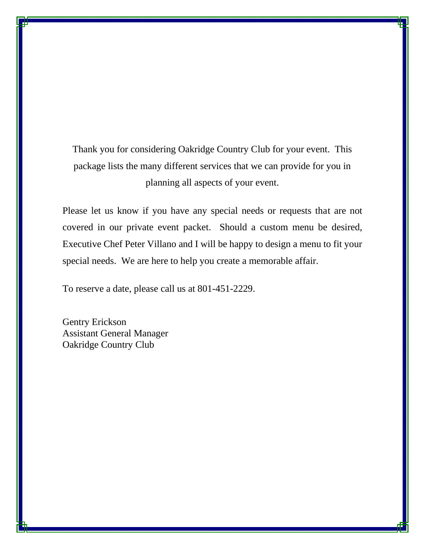Thank you for considering Oakridge Country Club for your event. This package lists the many different services that we can provide for you in planning all aspects of your event.

Please let us know if you have any special needs or requests that are not covered in our private event packet. Should a custom menu be desired, Executive Chef Peter Villano and I will be happy to design a menu to fit your special needs. We are here to help you create a memorable affair.

To reserve a date, please call us at 801-451-2229.

Gentry Erickson Assistant General Manager Oakridge Country Club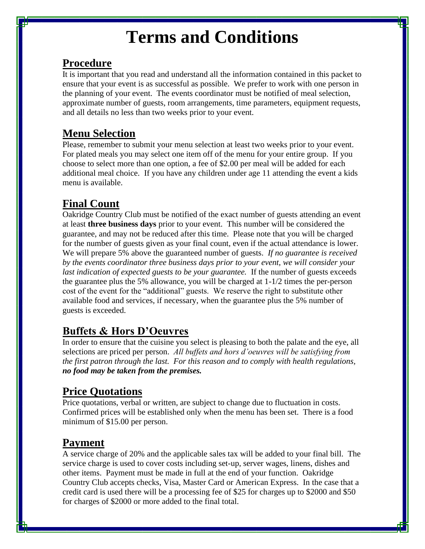# **Terms and Conditions**

### **Procedure**

It is important that you read and understand all the information contained in this packet to ensure that your event is as successful as possible. We prefer to work with one person in the planning of your event. The events coordinator must be notified of meal selection, approximate number of guests, room arrangements, time parameters, equipment requests, and all details no less than two weeks prior to your event.

## **Menu Selection**

Please, remember to submit your menu selection at least two weeks prior to your event. For plated meals you may select one item off of the menu for your entire group. If you choose to select more than one option, a fee of \$2.00 per meal will be added for each additional meal choice. If you have any children under age 11 attending the event a kids menu is available.

## **Final Count**

Oakridge Country Club must be notified of the exact number of guests attending an event at least **three business days** prior to your event. This number will be considered the guarantee, and may not be reduced after this time. Please note that you will be charged for the number of guests given as your final count, even if the actual attendance is lower. We will prepare 5% above the guaranteed number of guests. *If no guarantee is received by the events coordinator three business days prior to your event, we will consider your last indication of expected guests to be your guarantee.* If the number of guests exceeds the guarantee plus the 5% allowance, you will be charged at 1-1/2 times the per-person cost of the event for the "additional" guests. We reserve the right to substitute other available food and services, if necessary, when the guarantee plus the 5% number of guests is exceeded.

## **Buffets & Hors D'Oeuvres**

In order to ensure that the cuisine you select is pleasing to both the palate and the eye, all selections are priced per person. *All buffets and hors d'oeuvres will be satisfying from the first patron through the last. For this reason and to comply with health regulations, no food may be taken from the premises.*

## **Price Quotations**

Price quotations, verbal or written, are subject to change due to fluctuation in costs. Confirmed prices will be established only when the menu has been set. There is a food minimum of \$15.00 per person.

## **Payment**

A service charge of 20% and the applicable sales tax will be added to your final bill. The service charge is used to cover costs including set-up, server wages, linens, dishes and other items. Payment must be made in full at the end of your function. Oakridge Country Club accepts checks, Visa, Master Card or American Express. In the case that a credit card is used there will be a processing fee of \$25 for charges up to \$2000 and \$50 for charges of \$2000 or more added to the final total.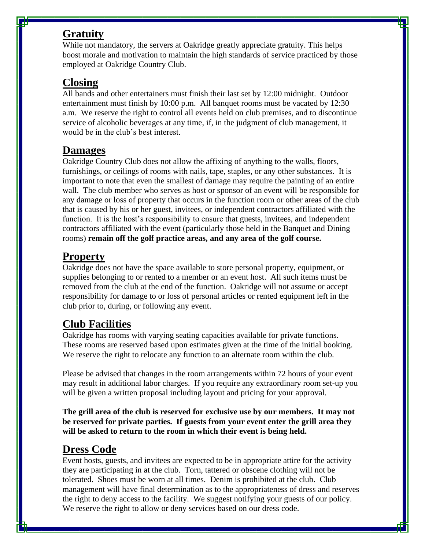#### **Gratuity**

While not mandatory, the servers at Oakridge greatly appreciate gratuity. This helps boost morale and motivation to maintain the high standards of service practiced by those employed at Oakridge Country Club.

#### **Closing**

All bands and other entertainers must finish their last set by 12:00 midnight. Outdoor entertainment must finish by 10:00 p.m. All banquet rooms must be vacated by 12:30 a.m. We reserve the right to control all events held on club premises, and to discontinue service of alcoholic beverages at any time, if, in the judgment of club management, it would be in the club's best interest.

#### **Damages**

Oakridge Country Club does not allow the affixing of anything to the walls, floors, furnishings, or ceilings of rooms with nails, tape, staples, or any other substances. It is important to note that even the smallest of damage may require the painting of an entire wall. The club member who serves as host or sponsor of an event will be responsible for any damage or loss of property that occurs in the function room or other areas of the club that is caused by his or her guest, invitees, or independent contractors affiliated with the function. It is the host's responsibility to ensure that guests, invitees, and independent contractors affiliated with the event (particularly those held in the Banquet and Dining rooms) **remain off the golf practice areas, and any area of the golf course.**

### **Property**

Oakridge does not have the space available to store personal property, equipment, or supplies belonging to or rented to a member or an event host. All such items must be removed from the club at the end of the function. Oakridge will not assume or accept responsibility for damage to or loss of personal articles or rented equipment left in the club prior to, during, or following any event.

## **Club Facilities**

Oakridge has rooms with varying seating capacities available for private functions. These rooms are reserved based upon estimates given at the time of the initial booking. We reserve the right to relocate any function to an alternate room within the club.

Please be advised that changes in the room arrangements within 72 hours of your event may result in additional labor charges. If you require any extraordinary room set-up you will be given a written proposal including layout and pricing for your approval.

**The grill area of the club is reserved for exclusive use by our members. It may not be reserved for private parties. If guests from your event enter the grill area they will be asked to return to the room in which their event is being held.** 

## **Dress Code**

Event hosts, guests, and invitees are expected to be in appropriate attire for the activity they are participating in at the club. Torn, tattered or obscene clothing will not be tolerated. Shoes must be worn at all times. Denim is prohibited at the club. Club management will have final determination as to the appropriateness of dress and reserves the right to deny access to the facility. We suggest notifying your guests of our policy. We reserve the right to allow or deny services based on our dress code.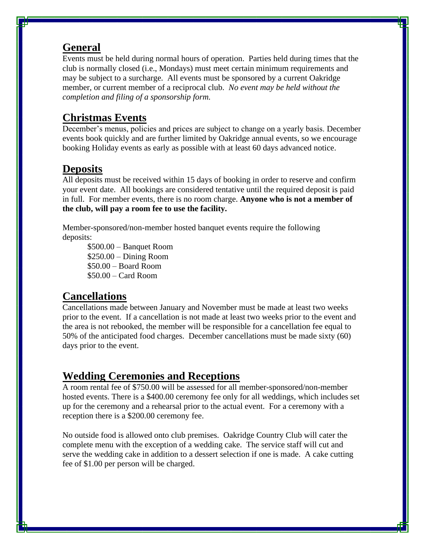#### **General**

Events must be held during normal hours of operation. Parties held during times that the club is normally closed (i.e., Mondays) must meet certain minimum requirements and may be subject to a surcharge. All events must be sponsored by a current Oakridge member, or current member of a reciprocal club. *No event may be held without the completion and filing of a sponsorship form.*

#### **Christmas Events**

December's menus, policies and prices are subject to change on a yearly basis. December events book quickly and are further limited by Oakridge annual events, so we encourage booking Holiday events as early as possible with at least 60 days advanced notice.

### **Deposits**

All deposits must be received within 15 days of booking in order to reserve and confirm your event date. All bookings are considered tentative until the required deposit is paid in full. For member events, there is no room charge. **Anyone who is not a member of the club, will pay a room fee to use the facility.**

Member-sponsored/non-member hosted banquet events require the following deposits:

\$500.00 – Banquet Room \$250.00 – Dining Room \$50.00 – Board Room \$50.00 – Card Room

### **Cancellations**

Cancellations made between January and November must be made at least two weeks prior to the event. If a cancellation is not made at least two weeks prior to the event and the area is not rebooked, the member will be responsible for a cancellation fee equal to 50% of the anticipated food charges. December cancellations must be made sixty (60) days prior to the event.

### **Wedding Ceremonies and Receptions**

A room rental fee of \$750.00 will be assessed for all member-sponsored/non-member hosted events. There is a \$400.00 ceremony fee only for all weddings, which includes set up for the ceremony and a rehearsal prior to the actual event. For a ceremony with a reception there is a \$200.00 ceremony fee.

No outside food is allowed onto club premises. Oakridge Country Club will cater the complete menu with the exception of a wedding cake. The service staff will cut and serve the wedding cake in addition to a dessert selection if one is made. A cake cutting fee of \$1.00 per person will be charged.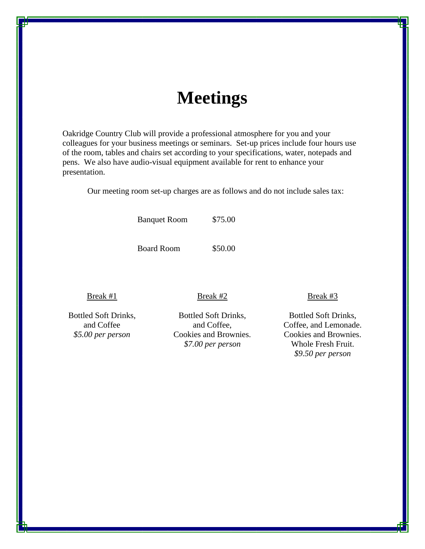## **Meetings**

Oakridge Country Club will provide a professional atmosphere for you and your colleagues for your business meetings or seminars. Set-up prices include four hours use of the room, tables and chairs set according to your specifications, water, notepads and pens. We also have audio-visual equipment available for rent to enhance your presentation.

Our meeting room set-up charges are as follows and do not include sales tax:

Banquet Room \$75.00

Board Room \$50.00

#### Break #1

Bottled Soft Drinks, and Coffee *\$5.00 per person*

Bottled Soft Drinks, and Coffee, Cookies and Brownies. *\$7.00 per person*

Break #2

Break #3

Bottled Soft Drinks, Coffee, and Lemonade. Cookies and Brownies. Whole Fresh Fruit. *\$9.50 per person*